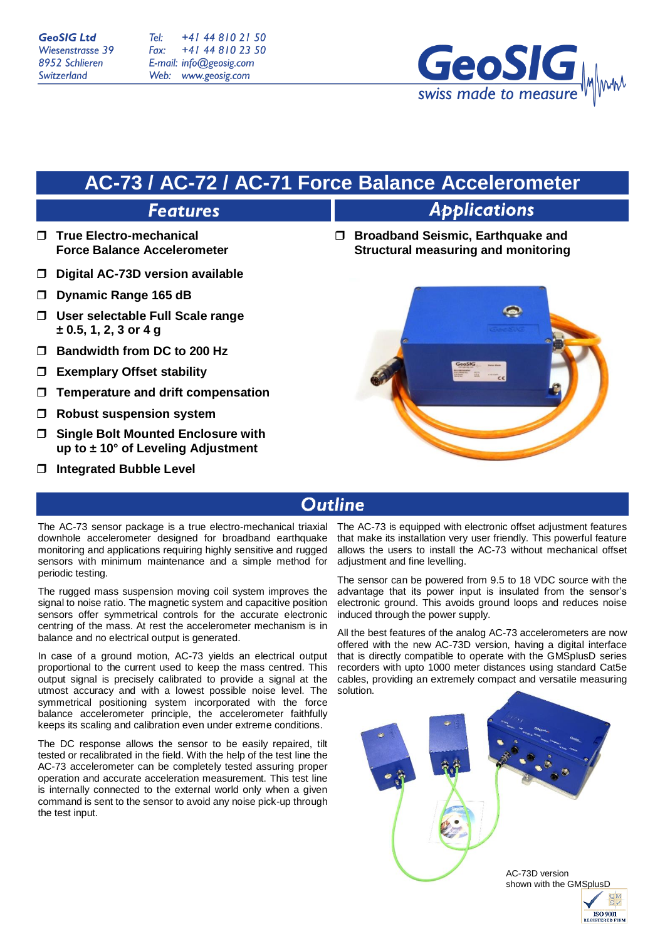Tel: +41 44 810 21 50 Fax: +41 44 810 23 50 E-mail: info@geosig.com Web: www.geosig.com



## **AC-73 / AC-72 / AC-71 Force Balance Accelerometer**

## **Features**

- **True Electro-mechanical Force Balance Accelerometer**
- **Digital AC-73D version available**
- **Dynamic Range 165 dB**
- **User selectable Full Scale range ± 0.5, 1, 2, 3 or 4 g**
- **Bandwidth from DC to 200 Hz**
- **Exemplary Offset stability**
- **Temperature and drift compensation**
- **Robust suspension system**
- **Single Bolt Mounted Enclosure with up to ± 10° of Leveling Adjustment**
- **Integrated Bubble Level**

# **Applications**

 **Broadband Seismic, Earthquake and Structural measuring and monitoring**



## **Outline**

The AC-73 sensor package is a true electro-mechanical triaxial downhole accelerometer designed for broadband earthquake monitoring and applications requiring highly sensitive and rugged sensors with minimum maintenance and a simple method for periodic testing.

The rugged mass suspension moving coil system improves the signal to noise ratio. The magnetic system and capacitive position sensors offer symmetrical controls for the accurate electronic centring of the mass. At rest the accelerometer mechanism is in balance and no electrical output is generated.

In case of a ground motion, AC-73 yields an electrical output proportional to the current used to keep the mass centred. This output signal is precisely calibrated to provide a signal at the utmost accuracy and with a lowest possible noise level. The symmetrical positioning system incorporated with the force balance accelerometer principle, the accelerometer faithfully keeps its scaling and calibration even under extreme conditions.

The DC response allows the sensor to be easily repaired, tilt tested or recalibrated in the field. With the help of the test line the AC-73 accelerometer can be completely tested assuring proper operation and accurate acceleration measurement. This test line is internally connected to the external world only when a given command is sent to the sensor to avoid any noise pick-up through the test input.

The AC-73 is equipped with electronic offset adjustment features that make its installation very user friendly. This powerful feature allows the users to install the AC-73 without mechanical offset adiustment and fine levelling.

The sensor can be powered from 9.5 to 18 VDC source with the advantage that its power input is insulated from the sensor's electronic ground. This avoids ground loops and reduces noise induced through the power supply.

All the best features of the analog AC-73 accelerometers are now offered with the new AC-73D version, having a digital interface that is directly compatible to operate with the GMSplusD series recorders with upto 1000 meter distances using standard Cat5e cables, providing an extremely compact and versatile measuring solution.



**REGISTERED FIRM**